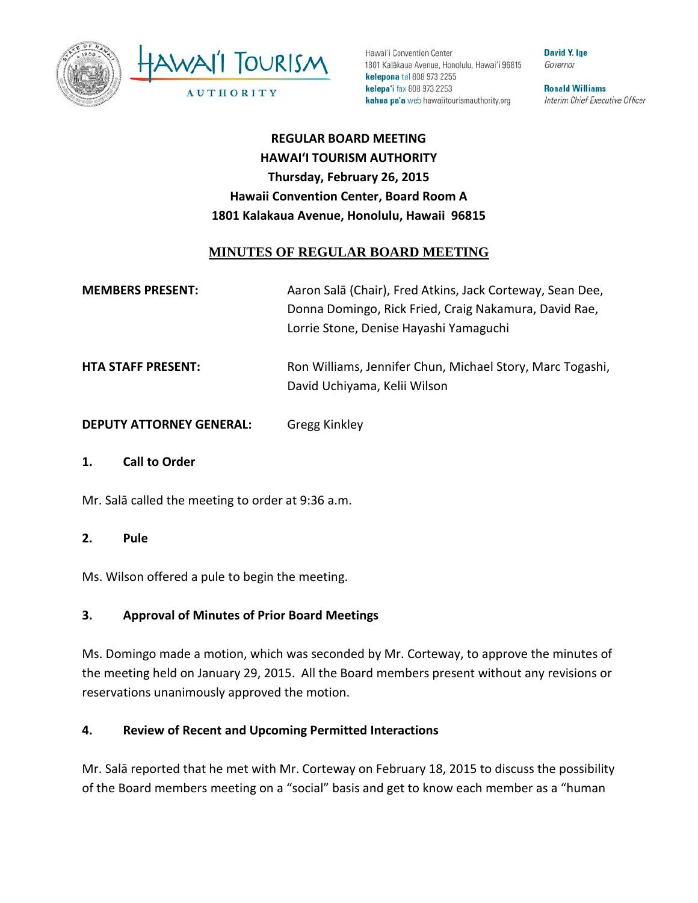



Hawai'i Convention Center 1801 Kalākaua Avenue, Honolulu, Hawai'i 96815 kelepona tel 808 973 2255 kelepa'i fax 808 973 2253 kahua pa'a web hawaiitourismauthority.org

**David Y. Ige** Governor

**Ronald Williams** Interim Chief Executive Officer

**REGULAR BOARD MEETING HAWAI'I TOURISM AUTHORITY Thursday, February 26, 2015 Hawaii Convention Center, Board Room A 1801 Kalakaua Avenue, Honolulu, Hawaii 96815** 

## **MINUTES OF REGULAR BOARD MEETING**

| <b>MEMBERS PRESENT:</b> | Aaron Salā (Chair), Fred Atkins, Jack Corteway, Sean Dee, |
|-------------------------|-----------------------------------------------------------|
|                         | Donna Domingo, Rick Fried, Craig Nakamura, David Rae,     |
|                         | Lorrie Stone, Denise Hayashi Yamaguchi                    |

- **HTA STAFF PRESENT:** Ron Williams, Jennifer Chun, Michael Story, Marc Togashi, David Uchiyama, Kelii Wilson
- **DEPUTY ATTORNEY GENERAL:** Gregg Kinkley
- **1. Call to Order**

Mr. Salā called the meeting to order at 9:36 a.m.

**2. Pule**

Ms. Wilson offered a pule to begin the meeting.

## **3. Approval of Minutes of Prior Board Meetings**

Ms. Domingo made a motion, which was seconded by Mr. Corteway, to approve the minutes of the meeting held on January 29, 2015. All the Board members present without any revisions or reservations unanimously approved the motion.

## **4. Review of Recent and Upcoming Permitted Interactions**

Mr. Salā reported that he met with Mr. Corteway on February 18, 2015 to discuss the possibility of the Board members meeting on a "social" basis and get to know each member as a "human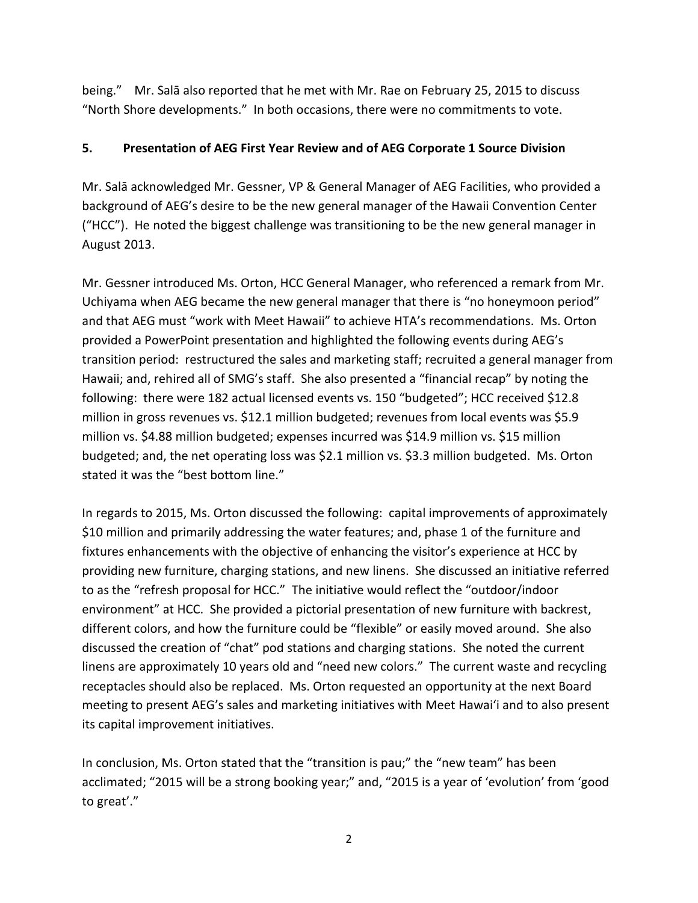being." Mr. Salā also reported that he met with Mr. Rae on February 25, 2015 to discuss "North Shore developments." In both occasions, there were no commitments to vote.

#### **5. Presentation of AEG First Year Review and of AEG Corporate 1 Source Division**

Mr. Salā acknowledged Mr. Gessner, VP & General Manager of AEG Facilities, who provided a background of AEG's desire to be the new general manager of the Hawaii Convention Center ("HCC"). He noted the biggest challenge was transitioning to be the new general manager in August 2013.

Mr. Gessner introduced Ms. Orton, HCC General Manager, who referenced a remark from Mr. Uchiyama when AEG became the new general manager that there is "no honeymoon period" and that AEG must "work with Meet Hawaii" to achieve HTA's recommendations. Ms. Orton provided a PowerPoint presentation and highlighted the following events during AEG's transition period: restructured the sales and marketing staff; recruited a general manager from Hawaii; and, rehired all of SMG's staff. She also presented a "financial recap" by noting the following: there were 182 actual licensed events vs. 150 "budgeted"; HCC received \$12.8 million in gross revenues vs. \$12.1 million budgeted; revenues from local events was \$5.9 million vs. \$4.88 million budgeted; expenses incurred was \$14.9 million vs. \$15 million budgeted; and, the net operating loss was \$2.1 million vs. \$3.3 million budgeted. Ms. Orton stated it was the "best bottom line."

In regards to 2015, Ms. Orton discussed the following: capital improvements of approximately \$10 million and primarily addressing the water features; and, phase 1 of the furniture and fixtures enhancements with the objective of enhancing the visitor's experience at HCC by providing new furniture, charging stations, and new linens. She discussed an initiative referred to as the "refresh proposal for HCC." The initiative would reflect the "outdoor/indoor environment" at HCC. She provided a pictorial presentation of new furniture with backrest, different colors, and how the furniture could be "flexible" or easily moved around. She also discussed the creation of "chat" pod stations and charging stations. She noted the current linens are approximately 10 years old and "need new colors." The current waste and recycling receptacles should also be replaced. Ms. Orton requested an opportunity at the next Board meeting to present AEG's sales and marketing initiatives with Meet Hawai'i and to also present its capital improvement initiatives.

In conclusion, Ms. Orton stated that the "transition is pau;" the "new team" has been acclimated; "2015 will be a strong booking year;" and, "2015 is a year of 'evolution' from 'good to great'."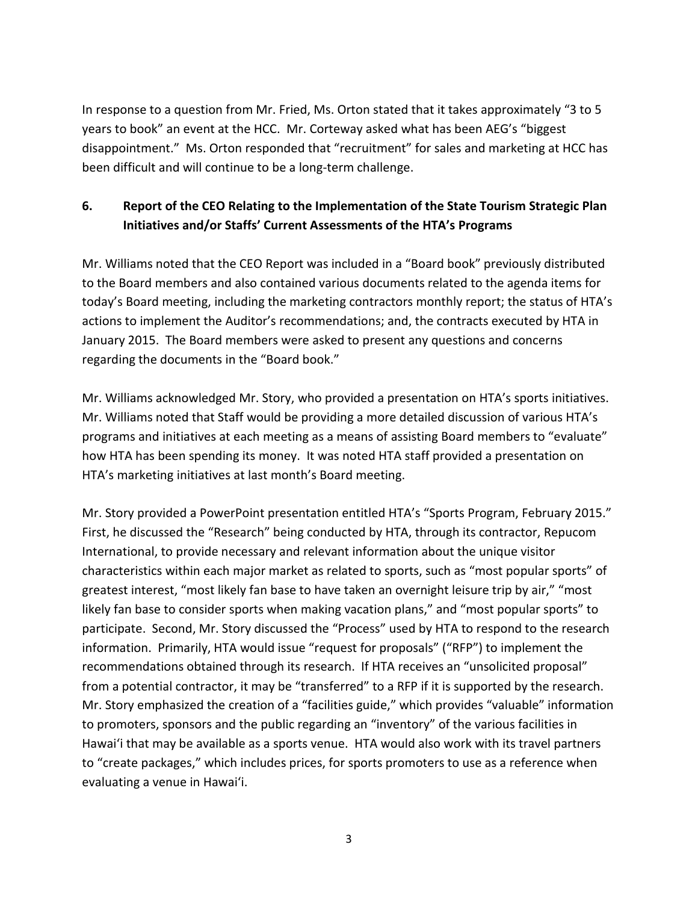In response to a question from Mr. Fried, Ms. Orton stated that it takes approximately "3 to 5 years to book" an event at the HCC. Mr. Corteway asked what has been AEG's "biggest disappointment." Ms. Orton responded that "recruitment" for sales and marketing at HCC has been difficult and will continue to be a long-term challenge.

# **6. Report of the CEO Relating to the Implementation of the State Tourism Strategic Plan Initiatives and/or Staffs' Current Assessments of the HTA's Programs**

Mr. Williams noted that the CEO Report was included in a "Board book" previously distributed to the Board members and also contained various documents related to the agenda items for today's Board meeting, including the marketing contractors monthly report; the status of HTA's actions to implement the Auditor's recommendations; and, the contracts executed by HTA in January 2015. The Board members were asked to present any questions and concerns regarding the documents in the "Board book."

Mr. Williams acknowledged Mr. Story, who provided a presentation on HTA's sports initiatives. Mr. Williams noted that Staff would be providing a more detailed discussion of various HTA's programs and initiatives at each meeting as a means of assisting Board members to "evaluate" how HTA has been spending its money. It was noted HTA staff provided a presentation on HTA's marketing initiatives at last month's Board meeting.

Mr. Story provided a PowerPoint presentation entitled HTA's "Sports Program, February 2015." First, he discussed the "Research" being conducted by HTA, through its contractor, Repucom International, to provide necessary and relevant information about the unique visitor characteristics within each major market as related to sports, such as "most popular sports" of greatest interest, "most likely fan base to have taken an overnight leisure trip by air," "most likely fan base to consider sports when making vacation plans," and "most popular sports" to participate. Second, Mr. Story discussed the "Process" used by HTA to respond to the research information. Primarily, HTA would issue "request for proposals" ("RFP") to implement the recommendations obtained through its research. If HTA receives an "unsolicited proposal" from a potential contractor, it may be "transferred" to a RFP if it is supported by the research. Mr. Story emphasized the creation of a "facilities guide," which provides "valuable" information to promoters, sponsors and the public regarding an "inventory" of the various facilities in Hawai'i that may be available as a sports venue. HTA would also work with its travel partners to "create packages," which includes prices, for sports promoters to use as a reference when evaluating a venue in Hawai'i.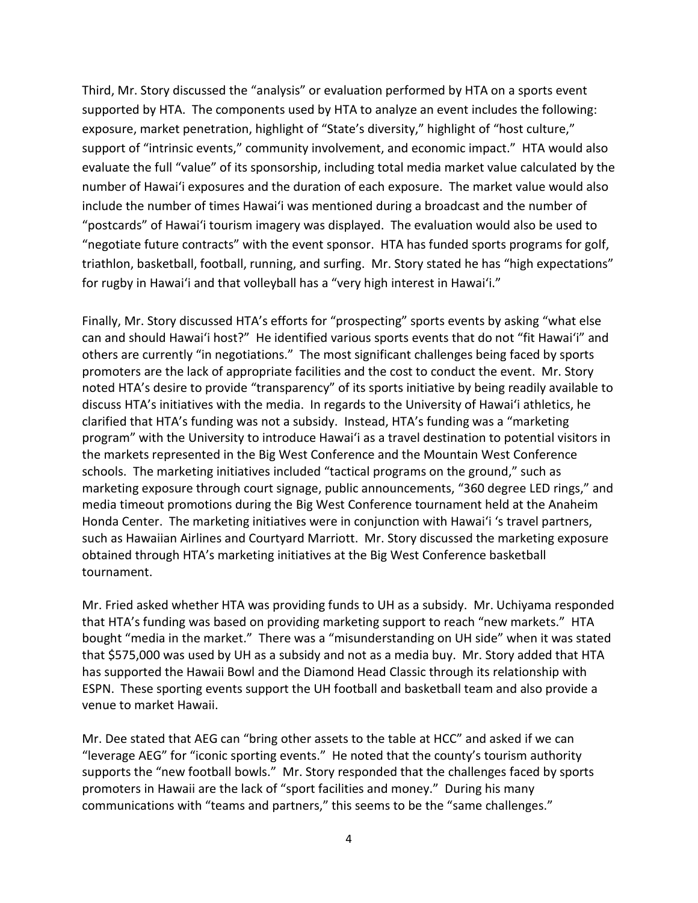Third, Mr. Story discussed the "analysis" or evaluation performed by HTA on a sports event supported by HTA. The components used by HTA to analyze an event includes the following: exposure, market penetration, highlight of "State's diversity," highlight of "host culture," support of "intrinsic events," community involvement, and economic impact." HTA would also evaluate the full "value" of its sponsorship, including total media market value calculated by the number of Hawai'i exposures and the duration of each exposure. The market value would also include the number of times Hawai'i was mentioned during a broadcast and the number of "postcards" of Hawai'i tourism imagery was displayed. The evaluation would also be used to "negotiate future contracts" with the event sponsor. HTA has funded sports programs for golf, triathlon, basketball, football, running, and surfing. Mr. Story stated he has "high expectations" for rugby in Hawai'i and that volleyball has a "very high interest in Hawai'i."

Finally, Mr. Story discussed HTA's efforts for "prospecting" sports events by asking "what else can and should Hawai'i host?" He identified various sports events that do not "fit Hawai'i" and others are currently "in negotiations." The most significant challenges being faced by sports promoters are the lack of appropriate facilities and the cost to conduct the event. Mr. Story noted HTA's desire to provide "transparency" of its sports initiative by being readily available to discuss HTA's initiatives with the media. In regards to the University of Hawai'i athletics, he clarified that HTA's funding was not a subsidy. Instead, HTA's funding was a "marketing program" with the University to introduce Hawai'i as a travel destination to potential visitors in the markets represented in the Big West Conference and the Mountain West Conference schools. The marketing initiatives included "tactical programs on the ground," such as marketing exposure through court signage, public announcements, "360 degree LED rings," and media timeout promotions during the Big West Conference tournament held at the Anaheim Honda Center. The marketing initiatives were in conjunction with Hawai'i 's travel partners, such as Hawaiian Airlines and Courtyard Marriott. Mr. Story discussed the marketing exposure obtained through HTA's marketing initiatives at the Big West Conference basketball tournament.

Mr. Fried asked whether HTA was providing funds to UH as a subsidy. Mr. Uchiyama responded that HTA's funding was based on providing marketing support to reach "new markets." HTA bought "media in the market." There was a "misunderstanding on UH side" when it was stated that \$575,000 was used by UH as a subsidy and not as a media buy. Mr. Story added that HTA has supported the Hawaii Bowl and the Diamond Head Classic through its relationship with ESPN. These sporting events support the UH football and basketball team and also provide a venue to market Hawaii.

Mr. Dee stated that AEG can "bring other assets to the table at HCC" and asked if we can "leverage AEG" for "iconic sporting events." He noted that the county's tourism authority supports the "new football bowls." Mr. Story responded that the challenges faced by sports promoters in Hawaii are the lack of "sport facilities and money." During his many communications with "teams and partners," this seems to be the "same challenges."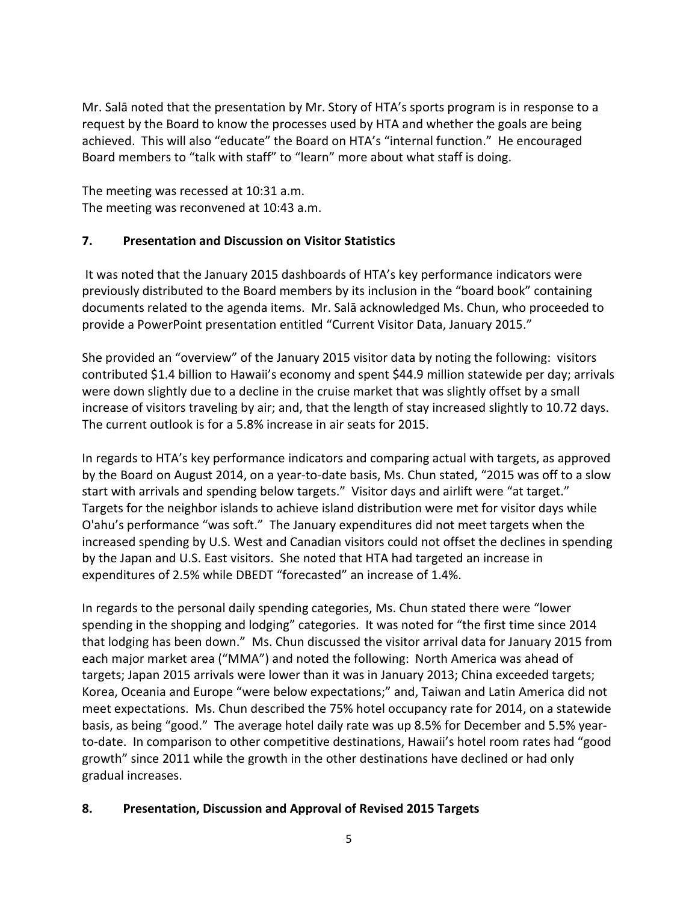Mr. Salā noted that the presentation by Mr. Story of HTA's sports program is in response to a request by the Board to know the processes used by HTA and whether the goals are being achieved. This will also "educate" the Board on HTA's "internal function." He encouraged Board members to "talk with staff" to "learn" more about what staff is doing.

The meeting was recessed at 10:31 a.m. The meeting was reconvened at 10:43 a.m.

## **7. Presentation and Discussion on Visitor Statistics**

It was noted that the January 2015 dashboards of HTA's key performance indicators were previously distributed to the Board members by its inclusion in the "board book" containing documents related to the agenda items. Mr. Salā acknowledged Ms. Chun, who proceeded to provide a PowerPoint presentation entitled "Current Visitor Data, January 2015."

She provided an "overview" of the January 2015 visitor data by noting the following: visitors contributed \$1.4 billion to Hawaii's economy and spent \$44.9 million statewide per day; arrivals were down slightly due to a decline in the cruise market that was slightly offset by a small increase of visitors traveling by air; and, that the length of stay increased slightly to 10.72 days. The current outlook is for a 5.8% increase in air seats for 2015.

In regards to HTA's key performance indicators and comparing actual with targets, as approved by the Board on August 2014, on a year-to-date basis, Ms. Chun stated, "2015 was off to a slow start with arrivals and spending below targets." Visitor days and airlift were "at target." Targets for the neighbor islands to achieve island distribution were met for visitor days while O'ahu's performance "was soft." The January expenditures did not meet targets when the increased spending by U.S. West and Canadian visitors could not offset the declines in spending by the Japan and U.S. East visitors. She noted that HTA had targeted an increase in expenditures of 2.5% while DBEDT "forecasted" an increase of 1.4%.

In regards to the personal daily spending categories, Ms. Chun stated there were "lower spending in the shopping and lodging" categories. It was noted for "the first time since 2014 that lodging has been down." Ms. Chun discussed the visitor arrival data for January 2015 from each major market area ("MMA") and noted the following: North America was ahead of targets; Japan 2015 arrivals were lower than it was in January 2013; China exceeded targets; Korea, Oceania and Europe "were below expectations;" and, Taiwan and Latin America did not meet expectations. Ms. Chun described the 75% hotel occupancy rate for 2014, on a statewide basis, as being "good." The average hotel daily rate was up 8.5% for December and 5.5% yearto-date. In comparison to other competitive destinations, Hawaii's hotel room rates had "good growth" since 2011 while the growth in the other destinations have declined or had only gradual increases.

## **8. Presentation, Discussion and Approval of Revised 2015 Targets**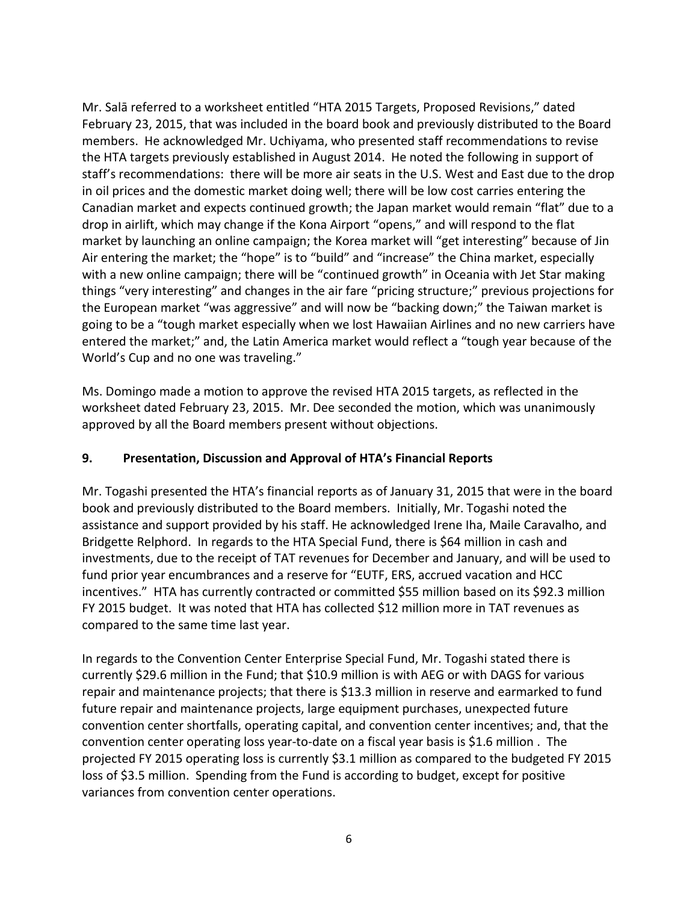Mr. Salā referred to a worksheet entitled "HTA 2015 Targets, Proposed Revisions," dated February 23, 2015, that was included in the board book and previously distributed to the Board members. He acknowledged Mr. Uchiyama, who presented staff recommendations to revise the HTA targets previously established in August 2014. He noted the following in support of staff's recommendations: there will be more air seats in the U.S. West and East due to the drop in oil prices and the domestic market doing well; there will be low cost carries entering the Canadian market and expects continued growth; the Japan market would remain "flat" due to a drop in airlift, which may change if the Kona Airport "opens," and will respond to the flat market by launching an online campaign; the Korea market will "get interesting" because of Jin Air entering the market; the "hope" is to "build" and "increase" the China market, especially with a new online campaign; there will be "continued growth" in Oceania with Jet Star making things "very interesting" and changes in the air fare "pricing structure;" previous projections for the European market "was aggressive" and will now be "backing down;" the Taiwan market is going to be a "tough market especially when we lost Hawaiian Airlines and no new carriers have entered the market;" and, the Latin America market would reflect a "tough year because of the World's Cup and no one was traveling."

Ms. Domingo made a motion to approve the revised HTA 2015 targets, as reflected in the worksheet dated February 23, 2015. Mr. Dee seconded the motion, which was unanimously approved by all the Board members present without objections.

## **9. Presentation, Discussion and Approval of HTA's Financial Reports**

Mr. Togashi presented the HTA's financial reports as of January 31, 2015 that were in the board book and previously distributed to the Board members. Initially, Mr. Togashi noted the assistance and support provided by his staff. He acknowledged Irene Iha, Maile Caravalho, and Bridgette Relphord. In regards to the HTA Special Fund, there is \$64 million in cash and investments, due to the receipt of TAT revenues for December and January, and will be used to fund prior year encumbrances and a reserve for "EUTF, ERS, accrued vacation and HCC incentives." HTA has currently contracted or committed \$55 million based on its \$92.3 million FY 2015 budget. It was noted that HTA has collected \$12 million more in TAT revenues as compared to the same time last year.

In regards to the Convention Center Enterprise Special Fund, Mr. Togashi stated there is currently \$29.6 million in the Fund; that \$10.9 million is with AEG or with DAGS for various repair and maintenance projects; that there is \$13.3 million in reserve and earmarked to fund future repair and maintenance projects, large equipment purchases, unexpected future convention center shortfalls, operating capital, and convention center incentives; and, that the convention center operating loss year-to-date on a fiscal year basis is \$1.6 million . The projected FY 2015 operating loss is currently \$3.1 million as compared to the budgeted FY 2015 loss of \$3.5 million. Spending from the Fund is according to budget, except for positive variances from convention center operations.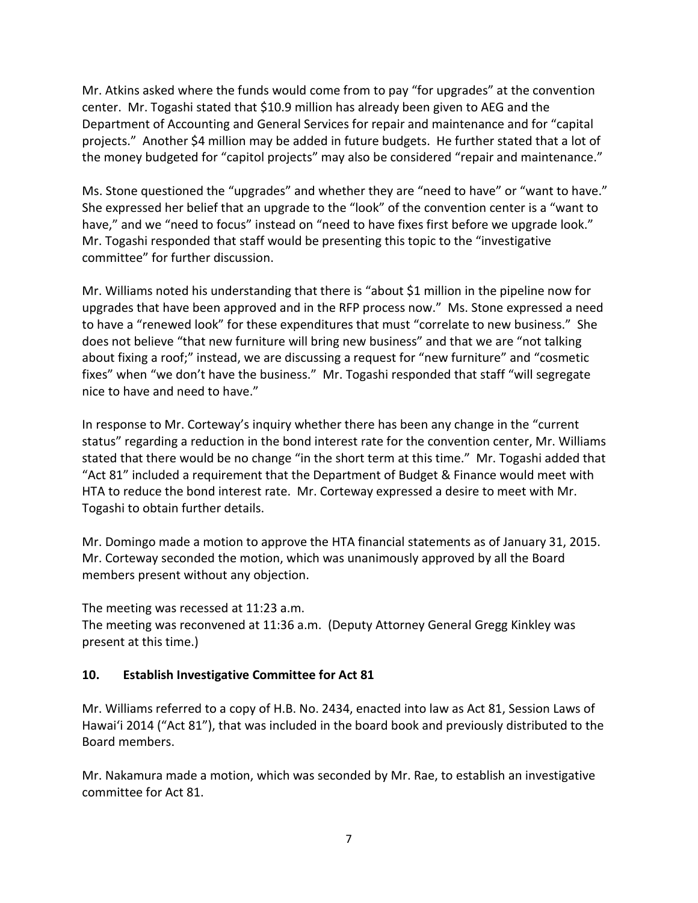Mr. Atkins asked where the funds would come from to pay "for upgrades" at the convention center. Mr. Togashi stated that \$10.9 million has already been given to AEG and the Department of Accounting and General Services for repair and maintenance and for "capital projects." Another \$4 million may be added in future budgets. He further stated that a lot of the money budgeted for "capitol projects" may also be considered "repair and maintenance."

Ms. Stone questioned the "upgrades" and whether they are "need to have" or "want to have." She expressed her belief that an upgrade to the "look" of the convention center is a "want to have," and we "need to focus" instead on "need to have fixes first before we upgrade look." Mr. Togashi responded that staff would be presenting this topic to the "investigative committee" for further discussion.

Mr. Williams noted his understanding that there is "about \$1 million in the pipeline now for upgrades that have been approved and in the RFP process now." Ms. Stone expressed a need to have a "renewed look" for these expenditures that must "correlate to new business."She does not believe "that new furniture will bring new business" and that we are "not talking about fixing a roof;" instead, we are discussing a request for "new furniture" and "cosmetic fixes" when "we don't have the business." Mr. Togashi responded that staff "will segregate nice to have and need to have."

In response to Mr. Corteway's inquiry whether there has been any change in the "current status" regarding a reduction in the bond interest rate for the convention center, Mr. Williams stated that there would be no change "in the short term at this time." Mr. Togashi added that "Act 81" included a requirement that the Department of Budget & Finance would meet with HTA to reduce the bond interest rate. Mr. Corteway expressed a desire to meet with Mr. Togashi to obtain further details.

Mr. Domingo made a motion to approve the HTA financial statements as of January 31, 2015. Mr. Corteway seconded the motion, which was unanimously approved by all the Board members present without any objection.

The meeting was recessed at 11:23 a.m. The meeting was reconvened at 11:36 a.m. (Deputy Attorney General Gregg Kinkley was present at this time.)

## **10. Establish Investigative Committee for Act 81**

Mr. Williams referred to a copy of H.B. No. 2434, enacted into law as Act 81, Session Laws of Hawai'i 2014 ("Act 81"), that was included in the board book and previously distributed to the Board members.

Mr. Nakamura made a motion, which was seconded by Mr. Rae, to establish an investigative committee for Act 81.